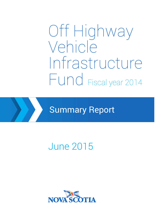# Off Highway Vehicle Infrastructure Fund Fiscal year 2014

Summary Report

## June 2015

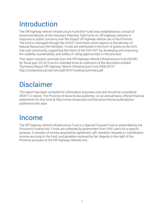### Introduction

The Off-highway Vehicle Infrastructure Fund (the Fund) was established as a result of recommendations of the Voluntary Planning Task Force on Off Highway Vehicles in response to public concerns over the impact off highway vehicle use in the Province. The fund is managed through the OHVIF Committee which reports to the Minister of Natural Resources (the Minister). Funds are distributed in the form of grants to the OHV trail user community, supporting the intent of the OHV ACT by developing and improving the usability, sustainability, and safety of riding opportunities in the province.

This report contains activities from the Off Highway Vehicle Infrastructure Fund (OHVIF) for fiscal year 2014/15 and is intended to be an extension of the document entitled "Summary Report Off-Highway Vehicle Infrastructure Fund 2006-2013". http://novascotia.ca/natr/ohv/pdf/OHV-Funding-Summary.pdf

### Disclaimer

This report has been compiled for information purposes only and should be considered DRAFT in nature. The Province of Nova Scotia publishes, on an annual basis, official financial statements for this fund at http://www.novascotia.ca/finance/en/home/publications/ publicaccounts.aspx

### Income

The Off highway Vehicle Infrastructure Fund is a Special Purpose Fund as prescribed by the Province's Finance Act. Funds are collected by government from OHV users for a specific purpose. It consists of money acquired by agreement, gift, donation, bequest or contribution; income accruing to the fund; and penalties received by Her Majesty in the right of the Province pursuant to the Off Highway Vehicles Act.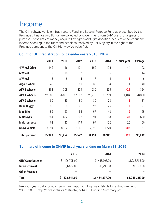### Income

The Off highway Vehicle Infrastructure Fund is a Special Purpose Fund as prescribed by the Province's Finance Act. Funds are collected by government from OHV users for a specific purpose. It consists of money acquired by agreement, gift, donation, bequest or contribution; income accruing to the fund; and penalties received by Her Majesty in the right of the Province pursuant to the Off Highway Vehicles Act.

|                      | 2010   | 2011   | 2012           | 2013           | 2014           | +/- prior year | Average |
|----------------------|--------|--------|----------------|----------------|----------------|----------------|---------|
| <b>4 Wheel Drive</b> | 146    | 146    | 171            | 152            | 196            | 44             | 162     |
| <b>6 Wheel</b>       | 12     | 16     | 12             | 13             | 16             | 3              | 14      |
| 8 Wheel              | 5      | 8      | $\overline{4}$ | $\overline{7}$ | $\overline{4}$ | $-3$           | 6       |
| Argo 8 Wheel         | 45     | 39     | 50             | 33             | 34             |                | 40      |
| <b>ATV 3 Wheels</b>  | 388    | 368    | 329            | 280            | 256            | $-24$          | 324     |
| <b>ATV 4 Wheels</b>  | 27,082 | 26,831 | 27,802         | 29,275         | 30,759         | 1,484          | 28,350  |
| <b>ATV 6 Wheels</b>  | 86     | 83     | 80             | 80             | 78             | $-2$           | 81      |
| <b>Dune Buggy</b>    | 30     | 28     | 26             | 27             | 25             | $-2$           | 27      |
| <b>Mini Bike</b>     | 56     | 59     | 55             | 57             | 48             | $-9$           | 55      |
| <b>Motorcycle</b>    | 684    | 662    | 608            | 591            | 553            | $-38$          | 620     |
| <b>Multi-purpose</b> | 62     | 80     | 119            | 97             | 122            | 25             | 96      |
| <b>Snow Vehicle</b>  | 7,394  | 8,132  | 6,266          | 7,822          | 6220           | $-1,602$       | 7,167   |
| Total per year       | 35,990 | 36,452 | 35,522         | 38,434         | 38,311         | $-123$         | 36,942  |

#### **Count of OHV registration for calendar years 2010–2014**

#### **Summary of Income to OHVIF fiscal years ending on March 31, 2015**

|                          | 2015           | 2014           | 2013           |
|--------------------------|----------------|----------------|----------------|
| <b>OHV Contributions</b> | \$1,466,705.00 | \$1,448,607.00 | \$1,238,795.00 |
| Interest/Invest          | \$6,839.00     | \$5,790.00     | \$6,520.00     |
| <b>Other Revenue</b>     |                |                |                |
| <b>Total</b>             | \$1,473,544.00 | \$1,454,397.00 | \$1,245,315.00 |

Previous years data found in Summary Report Off Highway Vehicle Infrastructure Fund 2006–2013. http://novascotia.ca/natr/ohv/pdf/OHV-Funding-Summary.pdf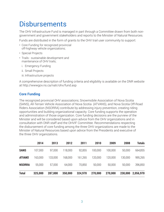### **Disbursements**

The OHV Infrastructure Fund is managed in part through a Committee drawn from both nongovernment and government stakeholders and reports to the Minister of Natural Resources.

Funds are distributed in the form of grants to the OHV trail user community to support:

- Core Funding for recognized provincial off-highway vehicle organizations;
- Special Projects
- Trails sustainable development and maintenance of OHV trails;
	- i. Emergency Funding
	- ii. Small Projects
	- iii. Infrastructure projects

A comprehensive description of funding criteria and eligibility is available on the DNR website at http://wwwgov.ns.ca/natr/ohv/fund.asp

#### **Core Funding**

The recognized provincial OHV associations; Snowmobile Association of Nova Scotia (SANS), All-Terrain Vehicle Association of Nova Scotia (ATVANS), and Nova Scotia Off-Road Riders Association (NSORRA) contribute by addressing injury prevention, creating riding opportunities and building organizational capacity. Core funding supports the operation and administration of those organization. Core funding decisions are the purview of the Minister and will be considered based upon advice from the OHV organizations and in consultation with DNR staff and the OHVIF Committee. Recommendations respecting the disbursement of core funding among the three OHV organizations are made to the Minister of Natural Resources based upon advice from the Presidents and executive of the three OHV organizations.

|               | 2014    | 2013    | 2012    | 2011    | 2010    | 2009    | 2008    | <b>Totals</b> |
|---------------|---------|---------|---------|---------|---------|---------|---------|---------------|
| <b>SANS</b>   | 107,000 | 97,000  | 118,000 | 92,855  | 100,000 | 100,000 | 50,000  | 664,855       |
| <b>ATVANS</b> | 163,000 | 133,000 | 168,000 | 161,265 | 120,000 | 120,000 | 130,000 | 995,265       |
| <b>NSORRA</b> | 55,000  | 57,000  | 64,000  | 70,850  | 50,000  | 50,000  | 50,000  | 396,850       |
| <b>Total</b>  | 325,000 | 287,000 | 350,000 | 324,970 | 270,000 | 270,000 | 230,000 | 2,056,970     |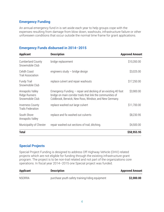#### **Emergency Funding**

An annual emergency fund in is set aside each year to help groups cope with the expenses resulting from damage from blow down, washouts, infrastructure failure or other unforeseen conditions that occur outside the normal time frame for grant applications.

| <b>Applicant</b>                                            | <b>Description</b>                                                                                                                                                                        | <b>Approved Amount</b> |
|-------------------------------------------------------------|-------------------------------------------------------------------------------------------------------------------------------------------------------------------------------------------|------------------------|
| <b>Cumberland County</b><br>Snowmobile Club                 | bridge replacement                                                                                                                                                                        | \$10,350.00            |
| Celidh Coast<br>Trail Association                           | engineers study $-$ bridge design                                                                                                                                                         | \$3,025.00             |
| <b>Fundy Trail</b><br>Snowmobile Club                       | replace culvert and repair washouts                                                                                                                                                       | \$17,250.00            |
| Annapolis Valley<br><b>Ridge Runners</b><br>Snowmobile Club | Emergency Funding $-$ repair and decking of an existing 40 foot<br>bridge on main corridor trails that link the communities of<br>Coldbrook, Berwick, New Ross, Windsor, and New Germany. | \$3,900.00             |
| <b>Inverness County</b><br><b>Trails Federation</b>         | replace washed out large culvert                                                                                                                                                          | \$11,700.00            |
| South Shore<br>Annapolis Valley                             | replace and fix washed out culverts                                                                                                                                                       | \$8,230.95             |
| Municipality of Chester                                     | repair washed out sections of trail, ditching.                                                                                                                                            | \$4,500.00             |
| <b>Total</b>                                                |                                                                                                                                                                                           | \$58,955.95            |

#### **Emergency Funds disbursed in 2014–2015**

#### **Special Projects**

Special Project Funding is designed to address Off Highway Vehicle (OHV) related projects which are not eligible for funding through the existing infrastructure grant program. The project is to be non-trail related and not part of the organizations core operations. In fiscal year 2014–2015 one Special project was funded.

| <b>Applicant</b> | <b>Description</b>                              | <b>Approved Amount</b> |
|------------------|-------------------------------------------------|------------------------|
| <b>NSORRA</b>    | purchase youth safety training/riding equipment | \$2,000.00             |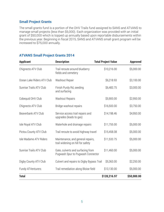#### **Small Project Grants**

The small grants fund is a portion of the OHV Trails fund assigned to SANS and ATVANS to manage small projects (less than \$5,000). Each organization was provided with an initial grant of \$50,000 which is topped up annually based upon reportable disbursements within the previous year. Beginning in fiscal 2015, SANS and ATVANS small grant program will be increased to \$75,000 annually.

| <b>Applicant</b>           | <b>Description</b>                                                     | <b>Total Project Value</b> | <b>Approved</b> |
|----------------------------|------------------------------------------------------------------------|----------------------------|-----------------|
| Chignecto ATV Club         | Trail reroute around blueberry<br>fields and cemetery                  | \$10,216.00                | \$5,000.00      |
| Ocean Lake Riders ATV Club | Washout Repair                                                         | \$6,218.93                 | \$3,100.00      |
| Sunrise Trails ATV Club    | Finish Purdy Rd, seeding<br>and surfacing                              | \$6,483.75                 | \$3,000.00      |
| Cobequid OHV Club          | <b>Washout Repairs</b>                                                 | \$5,900.00                 | \$2,950.00      |
| Chignecto ATV Club         | Bridge washout repairs                                                 | \$16,500.00                | \$3,750.00      |
| Beaverbank ATV Club        | Service access trail repairs and<br>upgrades (leads to gas)            | \$14,198.46                | \$4,950.00      |
| Isle Royal ATV Club        | Waterhole and drainage repairs                                         | \$11,755.00                | \$5,000.00      |
| Pictou County ATV Club     | Trail reroute to avoid highway travel                                  | \$15,458.08                | \$5,000.00      |
| Isle Madame ATV Riders     | Maintenance, and general repairs,<br>trail widening on hill for safety | \$11,533.75                | \$5,000.00      |
| Sunrise Trails ATV Club    | Gate, culverts and surfacing from<br>Pugwash Spur to Pugwash Connector | \$11,460.00                | \$5,000.00      |
| Digby County ATV Club      | Culvert and repairs to Digby Bypass Trail                              | \$5,363.00                 | \$2,250.00      |
| Fundy ATVenturers          | Trail remediation along Bloise field                                   | \$13,130.00                | \$5,000.00      |
| <b>Total</b>               |                                                                        | \$128,216.97               | \$50,000.00     |

#### **ATVANS Small Project Grants 2014**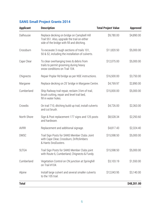| <b>Applicant</b> | <b>Description</b>                                                                                                                       | <b>Total Project Value</b> |             |  |
|------------------|------------------------------------------------------------------------------------------------------------------------------------------|----------------------------|-------------|--|
| Dalhousie        | Replace decking on bridge on Campbell Hill<br>Trail 551. Also, upgrade the trail on either<br>side of the bridge with fill and ditching. | \$9,780.00                 | \$4,890.00  |  |
| Crossburn        | To excavate 3 rough sections of trails 101,<br>50 & 52, including the installation of culverts.                                          | \$11,820.50                | \$5,000.00  |  |
| Cape Clear       | To clear overhanging trees & debris from<br>trails to permit grooming during heavy<br>snow conditions on Trail 104.                      | \$12,075.00                | \$5,000.00  |  |
| Chignecto        | Repair Poplar Rd bridge as per NSE instructions.                                                                                         | \$16,500.00                | \$3,750.00  |  |
| Margaree         | Replace decking on 25' bridge in Margaree Centre.                                                                                        | \$4,769.97                 | \$2,890.00  |  |
| Cumberland       | Ship Railway trail repair, reclaim 3 km of trail,<br>brush cutting, repair and level trail bed,<br>fill in water holes.                  | \$15,000.00                | \$5,000.00  |  |
| Crowdis          | On trail 710, ditching build up trail, install culverts<br>and cut brush.                                                                | \$4,726.00                 | \$2,363.00  |  |
| North Shore      | Sign & Post replacement 177 signs and 125 posts<br>and hardware.                                                                         | \$8,528.34                 | \$2,293.60  |  |
| <b>AVRR</b>      | Replacement and additional signage.                                                                                                      | \$4,817.43                 | \$2,324.40  |  |
| <b>DMSC</b>      | Trail Sign Posts for SANS Member Clubs Joint<br>with Cape Clear, Crossburn, Driftclimbers<br>& Hants SnoDusters.                         | \$15,598.50                | \$5,000.00  |  |
| <b>SLTGA</b>     | Trail Sign Posts for SANS Member Clubs joint<br>with Route 6, Cumberland, Chignecto & Fundy.                                             | \$15,598.50                | \$5,000.00  |  |
| Cumberland       | Vegetation Control on CN junction at Springhill<br>on Trail #104.                                                                        | \$3,103.19                 | \$1,550.00  |  |
| Alpine           | Install large culvert and several smaller culverts<br>to the 105 trail.                                                                  | \$12,043.95                | \$3,140.00  |  |
| <b>Total</b>     |                                                                                                                                          |                            | \$48,201.00 |  |

#### **SANS Small Project Grants 2014**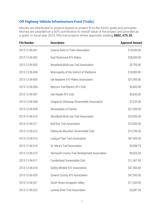#### **Off Highway Vehicle Infrastructure Fund (Trails)**

Monies are distributed to projects based on project fit to the fund's goals and principles. Monies are awarded on a 50% contribution to overall value of the project and provided as a grant. In fiscal year 2014, fifty trail projects where approved, totaling **\$882, 670.30.**

| <b>File Number</b> | <b>Description</b>                            | <b>Approved Amount</b> |
|--------------------|-----------------------------------------------|------------------------|
| 2013-12-06-001     | Queens Rails to Trails Association            | \$19,000.00            |
| 2013-12-06-002     | East Richmond ATV Riders                      | \$28,500.00            |
| 2013-12-06-003     | Woodland Multi-Use Trail Association          | \$5,700.00             |
| 2013-12-06-004     | Municipality of the District of Shelburne     | \$18,900.00            |
| 2013-12-06-005     | Isle Madame ATV Riders Association            | \$21,000.00            |
| 2013-12-06-006     | Marconi Trail Blazers ATV Club                | \$6,650.00             |
| 2013-12-06-007     | Isle Royale ATV Club                          | \$6,650.00             |
| 2013-12-06-008     | Chignecto Glooscap Snowmobile Association     | \$7,525.00             |
| 2013-12-06-009     | Municipality of Chester                       | \$21,000.00            |
| 2013-12-06-010     | Woodland Multi-Use Trail Association          | \$24,500.00            |
| 2013-12-06-011     | <b>Bull Run Trail Association</b>             | \$10,500.00            |
| 2013-12-06-012     | Dalhousie Mountain Snowmobile Club            | \$14,700.00            |
| 2013-12-06-013     | Judique Flyer Trail Association               | \$47,500.00            |
| 2013-12-06-014     | St. Mary's Trail Association                  | \$4,598.79             |
| 2013-12-06-015     | Yarmouth County Trail Development Association | \$9,025.00             |
| 2013-12-06-017     | Cumberland Snowmobile Club                    | \$11,067.50            |
| 2013-12-06-018     | Safety Minded ATV Association                 | \$47,500.00            |
| 2013-12-06-020     | Queens County ATV Association                 | \$47,500.00            |
| 2013-12-06-021     | South Shore Annapolis Valley                  | \$17,500.00            |
| 2013-12-06-022     | LaHave River Trail Association                | \$3,087.50             |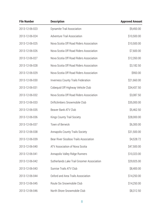| <b>File Number</b> | <b>Description</b>                         | <b>Approved Amount</b> |
|--------------------|--------------------------------------------|------------------------|
| 2013-12-06-023     | Dynamite Trail Association                 | \$9,450.00             |
| 2013-12-06-024     | <b>Adventure Trail Association</b>         | \$10,500.00            |
| 2013-12-06-025     | Nova Scotia Off Road Riders Association    | \$10,500.00            |
| 2013-12-06-026     | Nova Scotia Off Road Riders Association    | \$7,600.00             |
| 2013-12-06-027     | Nova Scotia Off Road Riders Association    | \$12,350.00            |
| 2013-12-06-028     | Nova Scotia Off Road Riders Association    | \$3,182.50             |
| 2013-12-06-029     | Nova Scotia Off Road Riders Association    | \$950.00               |
| 2013-12-06-030     | <b>Inverness County Trails Federation</b>  | \$21,660.00            |
| 2013-12-06-031     | Cobequid Off Highway Vehicle Club          | \$34,437.50            |
| 2013-12-06-032     | Nova Scotia Off Road Riders Association    | \$3,087.50             |
| 2013-12-06-033     | Driftclimbers Snowmobile Club              | \$35,000.00            |
| 2013-12-06-035     | Beaver Bank ATV Club                       | \$5,462.50             |
| 2013-12-06-036     | Kings County Trail Society                 | \$28,000.00            |
| 2013-12-06-037     | Town of Berwick                            | \$6,300.00             |
| 2013-12-06-038     | Annapolis County Trails Society            | \$31,500.00            |
| 2013-12-06-039     | Bear River Sissiboo Trails Association     | \$4,528.72             |
| 2013-12-06-040     | ATV Association of Nova Scotia             | \$47,500.00            |
| 2013-12-06-041     | Annapolis Valley Ridge Runners             | \$10,323.00            |
| 2013-12-06-042     | Sutherlands Lake Trail Groomer Association | \$29,925.00            |
| 2013-12-06-043     | Sunrise Trails ATV Club                    | \$8,400.00             |
| 2013-12-06-044     | Oxford and Area Trails Association         | \$14,250.00            |
| 2013-12-06-045     | Route Six Snowmobile Club                  | \$14,250.00            |
| 2013-12-06-046     | North Shore Snowmobile Club                | \$8,312.50             |